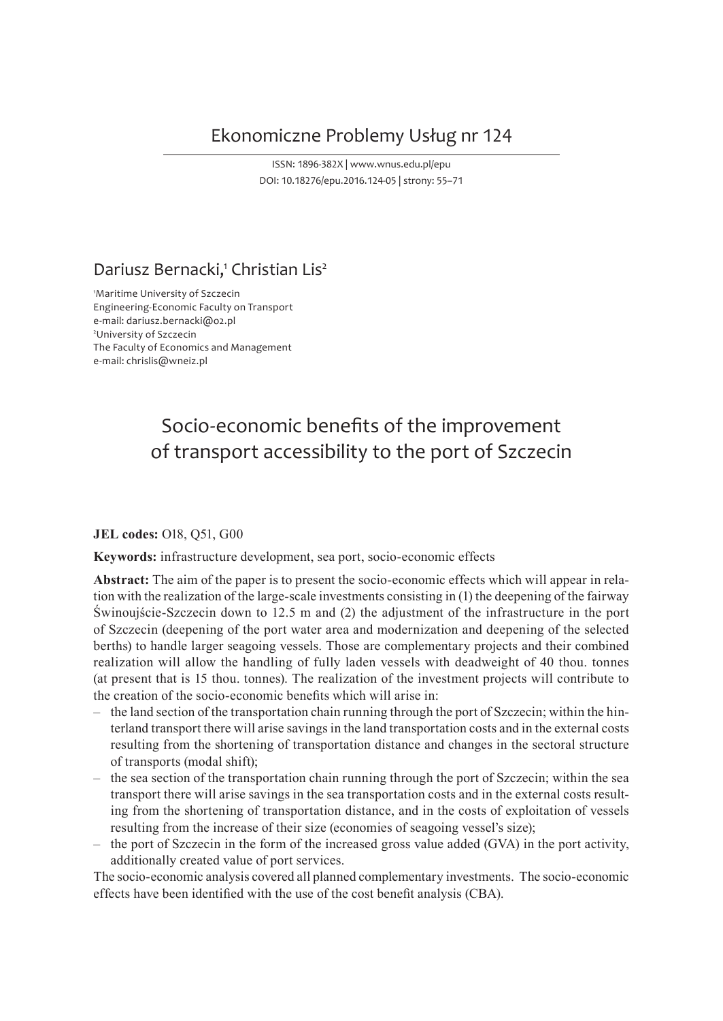## Ekonomiczne Problemy Usług nr 124

ISSN: 1896-382X | www.wnus.edu.pl/epu DOI: 10.18276/epu.2016.124-05 | strony: 55–71

## Dariusz Bernacki,<sup>1</sup> Christian Lis<sup>2</sup>

1 Maritime University of Szczecin Engineering-Economic Faculty on Transport e-mail: dariusz.bernacki@o2.pl 2 University of Szczecin The Faculty of Economics and Management e-mail: chrislis@wneiz.pl

# Socio-economic benefits of the improvement of transport accessibility to the port of Szczecin

#### **JEL codes:** O18, Q51, G00

**Keywords:** infrastructure development, sea port, socio-economic effects

**Abstract:** The aim of the paper is to present the socio-economic effects which will appear in relation with the realization of the large-scale investments consisting in (1) the deepening of the fairway Świnoujście-Szczecin down to 12.5 m and (2) the adjustment of the infrastructure in the port of Szczecin (deepening of the port water area and modernization and deepening of the selected berths) to handle larger seagoing vessels. Those are complementary projects and their combined realization will allow the handling of fully laden vessels with deadweight of 40 thou. tonnes (at present that is 15 thou. tonnes). The realization of the investment projects will contribute to the creation of the socio-economic benefits which will arise in:

- ‒ the land section of the transportation chain running through the port of Szczecin; within the hinterland transport there will arise savings in the land transportation costs and in the external costs resulting from the shortening of transportation distance and changes in the sectoral structure of transports (modal shift);
- $-$  the sea section of the transportation chain running through the port of Szczecin; within the sea transport there will arise savings in the sea transportation costs and in the external costs resulting from the shortening of transportation distance, and in the costs of exploitation of vessels resulting from the increase of their size (economies of seagoing vessel's size);
- ‒ the port of Szczecin in the form of the increased gross value added (GVA) in the port activity, additionally created value of port services.

The socio-economic analysis covered all planned complementary investments. The socio-economic effects have been identified with the use of the cost benefit analysis (CBA).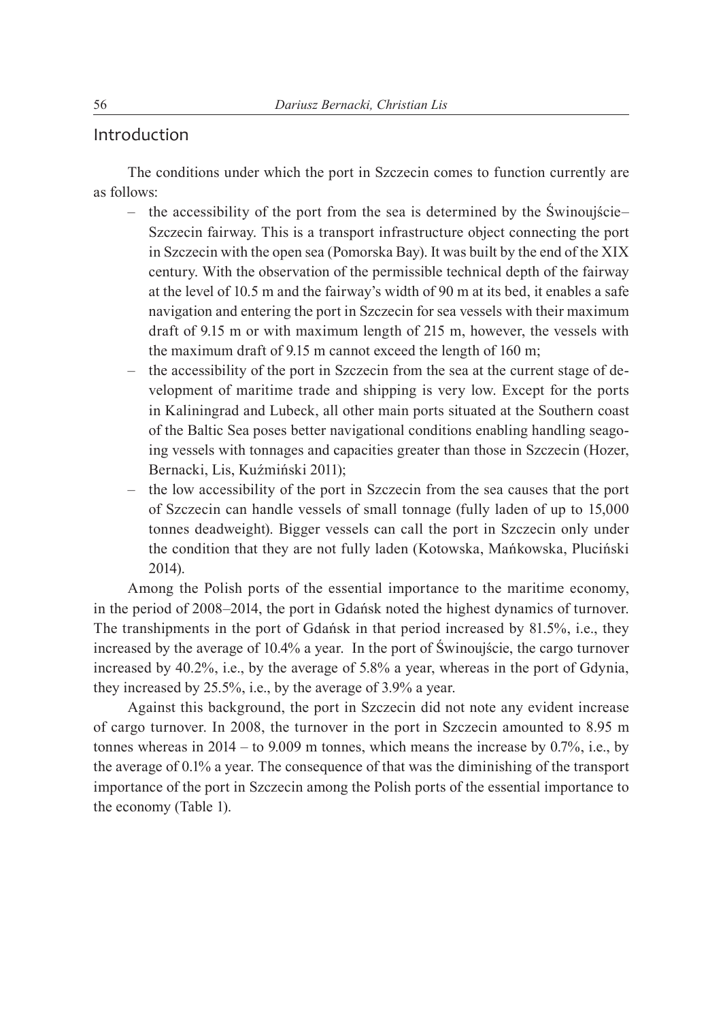#### Introduction

The conditions under which the port in Szczecin comes to function currently are as follows:

- $-$  the accessibility of the port from the sea is determined by the Swinoujście– Szczecin fairway. This is a transport infrastructure object connecting the port in Szczecin with the open sea (Pomorska Bay). It was built by the end of the XIX century. With the observation of the permissible technical depth of the fairway at the level of 10.5 m and the fairway's width of 90 m at its bed, it enables a safe navigation and entering the port in Szczecin for sea vessels with their maximum draft of 9.15 m or with maximum length of 215 m, however, the vessels with the maximum draft of 9.15 m cannot exceed the length of 160 m;
- the accessibility of the port in Szczecin from the sea at the current stage of development of maritime trade and shipping is very low. Except for the ports in Kaliningrad and Lubeck, all other main ports situated at the Southern coast of the Baltic Sea poses better navigational conditions enabling handling seagoing vessels with tonnages and capacities greater than those in Szczecin (Hozer, Bernacki, Lis, Kuźmiński 2011);
- the low accessibility of the port in Szczecin from the sea causes that the port of Szczecin can handle vessels of small tonnage (fully laden of up to 15,000 tonnes deadweight). Bigger vessels can call the port in Szczecin only under the condition that they are not fully laden (Kotowska, Mańkowska, Pluciński 2014).

Among the Polish ports of the essential importance to the maritime economy, in the period of 2008‒2014, the port in Gdańsk noted the highest dynamics of turnover. The transhipments in the port of Gdańsk in that period increased by 81.5%, i.e., they increased by the average of 10.4% a year. In the port of Świnoujście, the cargo turnover increased by 40.2%, i.e., by the average of 5.8% a year, whereas in the port of Gdynia, they increased by 25.5%, i.e., by the average of 3.9% a year.

Against this background, the port in Szczecin did not note any evident increase of cargo turnover. In 2008, the turnover in the port in Szczecin amounted to 8.95 m tonnes whereas in  $2014 -$  to  $9.009$  m tonnes, which means the increase by  $0.7\%$ , i.e., by the average of 0.1% a year. The consequence of that was the diminishing of the transport importance of the port in Szczecin among the Polish ports of the essential importance to the economy (Table 1).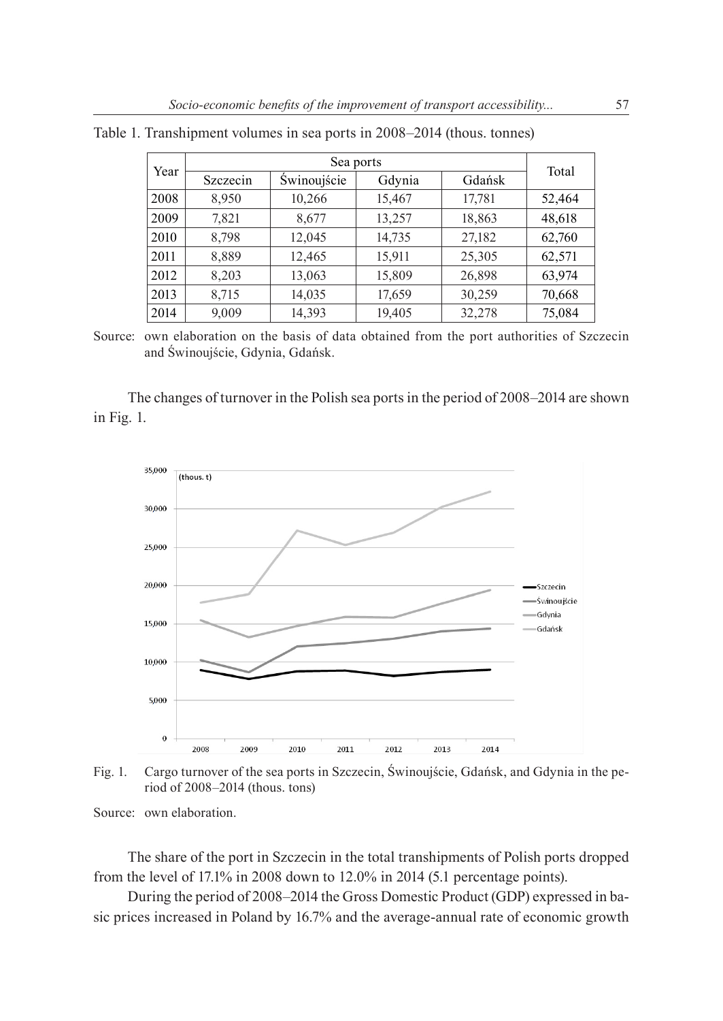| Year |          | Total       |        |        |        |
|------|----------|-------------|--------|--------|--------|
|      | Szczecin | Swinoujście | Gdynia | Gdańsk |        |
| 2008 | 8,950    | 10,266      | 15,467 | 17,781 | 52,464 |
| 2009 | 7,821    | 8,677       | 13,257 | 18,863 | 48,618 |
| 2010 | 8,798    | 12,045      | 14,735 | 27,182 | 62,760 |
| 2011 | 8,889    | 12,465      | 15,911 | 25,305 | 62,571 |
| 2012 | 8,203    | 13,063      | 15,809 | 26,898 | 63,974 |
| 2013 | 8,715    | 14,035      | 17,659 | 30,259 | 70,668 |
| 2014 | 9,009    | 14,393      | 19,405 | 32,278 | 75,084 |

Table 1. Transhipment volumes in sea ports in 2008–2014 (thous. tonnes)

The changes of turnover in the Polish sea ports in the period of 2008–2014 are shown in Fig. 1.



Fig. 1. Cargo turnover of the sea ports in Szczecin, Świnoujście, Gdańsk, and Gdynia in the period of 2008‒2014 (thous. tons)

Source: own elaboration.

The share of the port in Szczecin in the total transhipments of Polish ports dropped from the level of 17.1% in 2008 down to 12.0% in 2014 (5.1 percentage points).

During the period of 2008–2014 the Gross Domestic Product (GDP) expressed in basic prices increased in Poland by 16.7% and the average-annual rate of economic growth

Source: own elaboration on the basis of data obtained from the port authorities of Szczecin and Świnoujście, Gdynia, Gdańsk.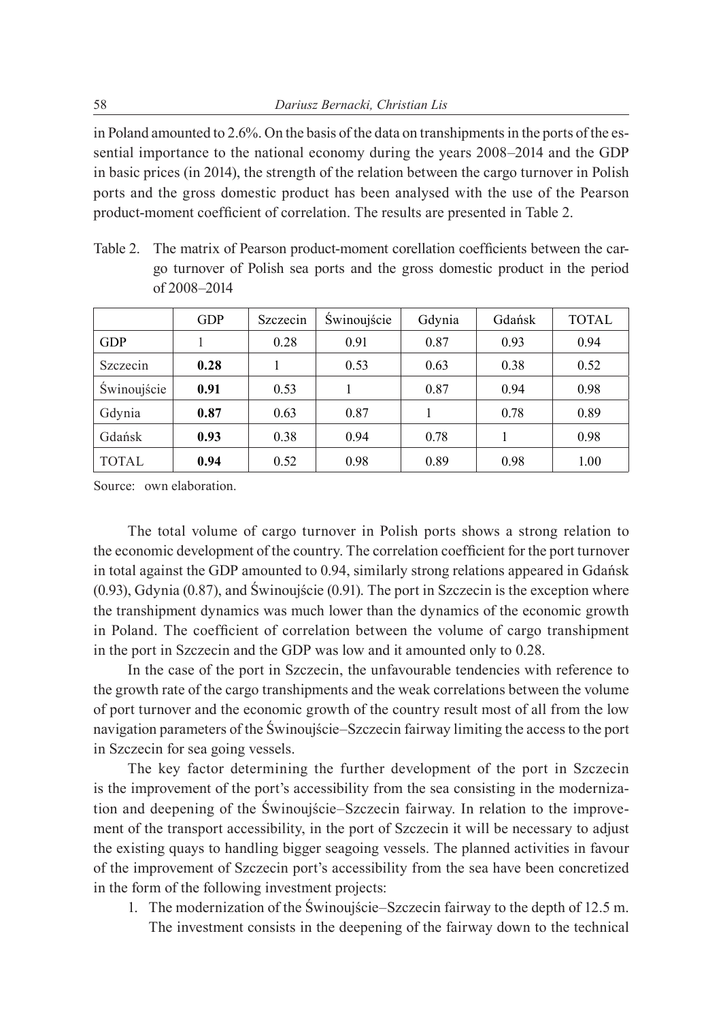in Poland amounted to 2.6%. On the basis of the data on transhipments in the ports of the essential importance to the national economy during the years  $2008-2014$  and the GDP in basic prices (in 2014), the strength of the relation between the cargo turnover in Polish ports and the gross domestic product has been analysed with the use of the Pearson product-moment coefficient of correlation. The results are presented in Table 2.

Table 2. The matrix of Pearson product-moment corellation coefficients between the cargo turnover of Polish sea ports and the gross domestic product in the period of 2008‒2014

|              | <b>GDP</b> | Szczecin | Swinoujście | Gdynia | Gdańsk | <b>TOTAL</b> |
|--------------|------------|----------|-------------|--------|--------|--------------|
| <b>GDP</b>   |            | 0.28     | 0.91        | 0.87   | 0.93   | 0.94         |
| Szczecin     | 0.28       |          | 0.53        | 0.63   | 0.38   | 0.52         |
| Świnoujście  | 0.91       | 0.53     |             | 0.87   | 0.94   | 0.98         |
| Gdynia       | 0.87       | 0.63     | 0.87        |        | 0.78   | 0.89         |
| Gdańsk       | 0.93       | 0.38     | 0.94        | 0.78   |        | 0.98         |
| <b>TOTAL</b> | 0.94       | 0.52     | 0.98        | 0.89   | 0.98   | 1.00         |

Source: own elaboration.

The total volume of cargo turnover in Polish ports shows a strong relation to the economic development of the country. The correlation coefficient for the port turnover in total against the GDP amounted to 0.94, similarly strong relations appeared in Gdańsk (0.93), Gdynia (0.87), and Świnoujście (0.91). The port in Szczecin is the exception where the transhipment dynamics was much lower than the dynamics of the economic growth in Poland. The coefficient of correlation between the volume of cargo transhipment in the port in Szczecin and the GDP was low and it amounted only to 0.28.

In the case of the port in Szczecin, the unfavourable tendencies with reference to the growth rate of the cargo transhipments and the weak correlations between the volume of port turnover and the economic growth of the country result most of all from the low navigation parameters of the Świnoujście–Szczecin fairway limiting the access to the port in Szczecin for sea going vessels.

The key factor determining the further development of the port in Szczecin is the improvement of the port's accessibility from the sea consisting in the modernization and deepening of the Świnoujście–Szczecin fairway. In relation to the improvement of the transport accessibility, in the port of Szczecin it will be necessary to adjust the existing quays to handling bigger seagoing vessels. The planned activities in favour of the improvement of Szczecin port's accessibility from the sea have been concretized in the form of the following investment projects:

1. The modernization of the Świnoujście–Szczecin fairway to the depth of 12.5 m. The investment consists in the deepening of the fairway down to the technical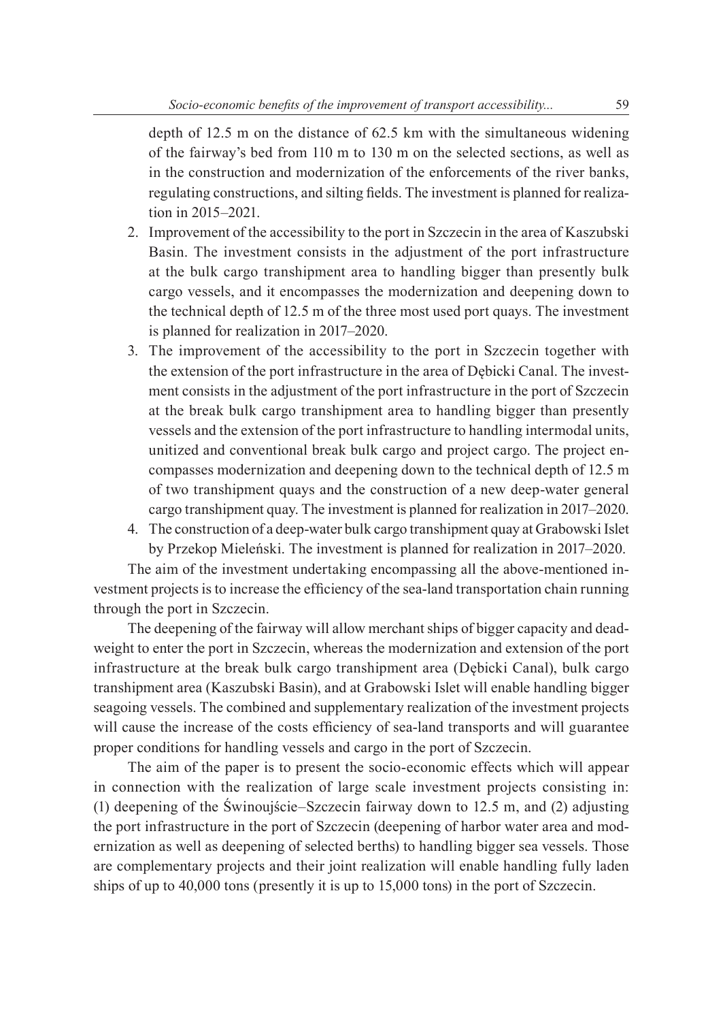depth of 12.5 m on the distance of 62.5 km with the simultaneous widening of the fairway's bed from 110 m to 130 m on the selected sections, as well as in the construction and modernization of the enforcements of the river banks, regulating constructions, and silting fields. The investment is planned for realization in 2015–2021.

- 2. Improvement of the accessibility to the port in Szczecin in the area of Kaszubski Basin. The investment consists in the adjustment of the port infrastructure at the bulk cargo transhipment area to handling bigger than presently bulk cargo vessels, and it encompasses the modernization and deepening down to the technical depth of 12.5 m of the three most used port quays. The investment is planned for realization in 2017–2020.
- 3. The improvement of the accessibility to the port in Szczecin together with the extension of the port infrastructure in the area of Dębicki Canal. The investment consists in the adjustment of the port infrastructure in the port of Szczecin at the break bulk cargo transhipment area to handling bigger than presently vessels and the extension of the port infrastructure to handling intermodal units, unitized and conventional break bulk cargo and project cargo. The project encompasses modernization and deepening down to the technical depth of 12.5 m of two transhipment quays and the construction of a new deep-water general cargo transhipment quay. The investment is planned for realization in 2017–2020.
- 4. The construction of a deep-water bulk cargo transhipment quay at Grabowski Islet by Przekop Mieleński. The investment is planned for realization in 2017–2020.

The aim of the investment undertaking encompassing all the above-mentioned investment projects is to increase the efficiency of the sea-land transportation chain running through the port in Szczecin.

The deepening of the fairway will allow merchant ships of bigger capacity and deadweight to enter the port in Szczecin, whereas the modernization and extension of the port infrastructure at the break bulk cargo transhipment area (Dębicki Canal), bulk cargo transhipment area (Kaszubski Basin), and at Grabowski Islet will enable handling bigger seagoing vessels. The combined and supplementary realization of the investment projects will cause the increase of the costs efficiency of sea-land transports and will guarantee proper conditions for handling vessels and cargo in the port of Szczecin.

The aim of the paper is to present the socio-economic effects which will appear in connection with the realization of large scale investment projects consisting in: (1) deepening of the Świnoujście–Szczecin fairway down to  $12.5$  m, and  $(2)$  adjusting the port infrastructure in the port of Szczecin (deepening of harbor water area and modernization as well as deepening of selected berths) to handling bigger sea vessels. Those are complementary projects and their joint realization will enable handling fully laden ships of up to 40,000 tons (presently it is up to 15,000 tons) in the port of Szczecin.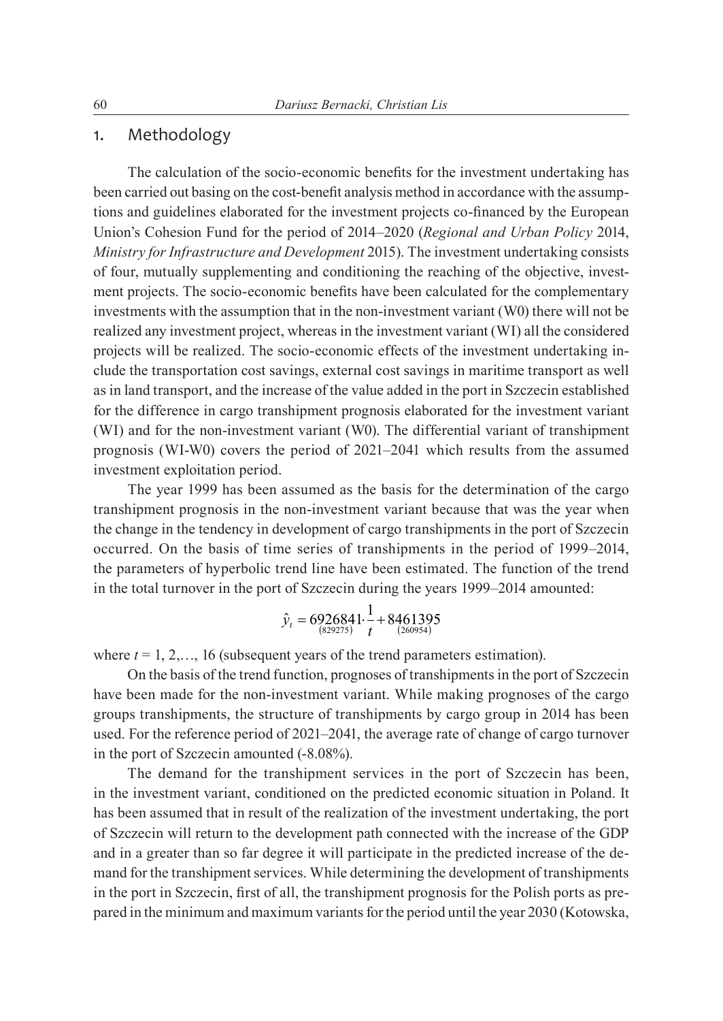#### 1. Methodology

The calculation of the socio-economic benefits for the investment undertaking has been carried out basing on the cost-benefit analysis method in accordance with the assumptions and guidelines elaborated for the investment projects co-financed by the European Union's Cohesion Fund for the period of 2014‒2020 (*Regional and Urban Policy* 2014, *Ministry for Infrastructure and Development* 2015). The investment undertaking consists of four, mutually supplementing and conditioning the reaching of the objective, investment projects. The socio-economic benefits have been calculated for the complementary investments with the assumption that in the non-investment variant (W0) there will not be realized any investment project, whereas in the investment variant (WI) all the considered projects will be realized. The socio-economic effects of the investment undertaking include the transportation cost savings, external cost savings in maritime transport as well as in land transport, and the increase of the value added in the port in Szczecin established for the difference in cargo transhipment prognosis elaborated for the investment variant (WI) and for the non-investment variant (W0). The differential variant of transhipment prognosis (WI-W0) covers the period of 2021–2041 which results from the assumed investment exploitation period.

The year 1999 has been assumed as the basis for the determination of the cargo transhipment prognosis in the non-investment variant because that was the year when the change in the tendency in development of cargo transhipments in the port of Szczecin occurred. On the basis of time series of transhipments in the period of 1999–2014, the parameters of hyperbolic trend line have been estimated. The function of the trend in the total turnover in the port of Szczecin during the years 1999–2014 amounted:

$$
\hat{y}_t = 6926841 \cdot \frac{1}{t} + 8461395
$$
  
<sub>(829275)</sub>

where  $t = 1, 2, \ldots, 16$  (subsequent years of the trend parameters estimation).

On the basis of the trend function, prognoses of transhipments in the port of Szczecin have been made for the non-investment variant. While making prognoses of the cargo groups transhipments, the structure of transhipments by cargo group in 2014 has been used. For the reference period of 2021–2041, the average rate of change of cargo turnover in the port of Szczecin amounted (-8.08%).

The demand for the transhipment services in the port of Szczecin has been, in the investment variant, conditioned on the predicted economic situation in Poland. It has been assumed that in result of the realization of the investment undertaking, the port of Szczecin will return to the development path connected with the increase of the GDP and in a greater than so far degree it will participate in the predicted increase of the demand for the transhipment services. While determining the development of transhipments in the port in Szczecin, first of all, the transhipment prognosis for the Polish ports as prepared in the minimum and maximum variants for the period until the year 2030 (Kotowska,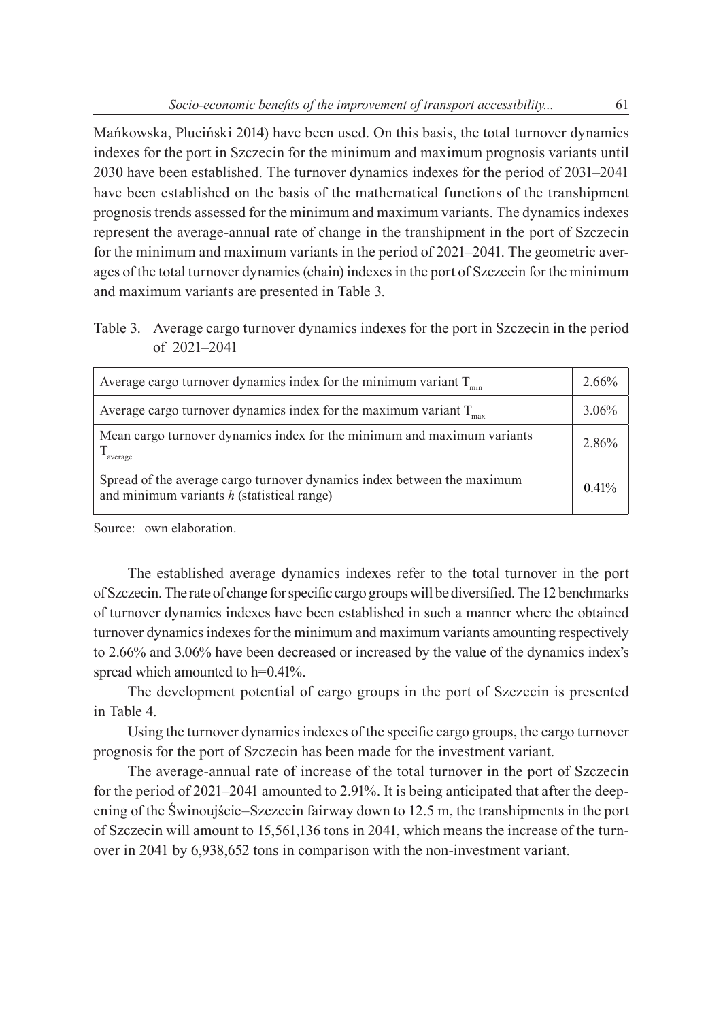Mańkowska, Pluciński 2014) have been used. On this basis, the total turnover dynamics indexes for the port in Szczecin for the minimum and maximum prognosis variants until 2030 have been established. The turnover dynamics indexes for the period of 2031–2041 have been established on the basis of the mathematical functions of the transhipment prognosis trends assessed for the minimum and maximum variants. The dynamics indexes represent the average-annual rate of change in the transhipment in the port of Szczecin for the minimum and maximum variants in the period of  $2021-2041$ . The geometric averages of the total turnover dynamics (chain) indexes in the port of Szczecin for the minimum and maximum variants are presented in Table 3.

Table 3. Average cargo turnover dynamics indexes for the port in Szczecin in the period of 2021‒2041

| Average cargo turnover dynamics index for the minimum variant $T_{min}$                                                 | $2.66\%$ |
|-------------------------------------------------------------------------------------------------------------------------|----------|
| Average cargo turnover dynamics index for the maximum variant $T_{\text{max}}$                                          | 3.06%    |
| Mean cargo turnover dynamics index for the minimum and maximum variants<br>average                                      | 2.86%    |
| Spread of the average cargo turnover dynamics index between the maximum<br>and minimum variants $h$ (statistical range) | 0.41%    |

Source: own elaboration.

The established average dynamics indexes refer to the total turnover in the port of Szczecin. The rate of change for specific cargo groups will be diversified. The 12 benchmarks of turnover dynamics indexes have been established in such a manner where the obtained turnover dynamics indexes for the minimum and maximum variants amounting respectively to 2.66% and 3.06% have been decreased or increased by the value of the dynamics index's spread which amounted to h=0.41%.

The development potential of cargo groups in the port of Szczecin is presented in Table 4.

Using the turnover dynamics indexes of the specific cargo groups, the cargo turnover prognosis for the port of Szczecin has been made for the investment variant.

The average-annual rate of increase of the total turnover in the port of Szczecin for the period of  $2021-2041$  amounted to  $2.91\%$ . It is being anticipated that after the deepening of the Świnoujście–Szczecin fairway down to 12.5 m, the transhipments in the port of Szczecin will amount to 15,561,136 tons in 2041, which means the increase of the turnover in 2041 by 6,938,652 tons in comparison with the non-investment variant.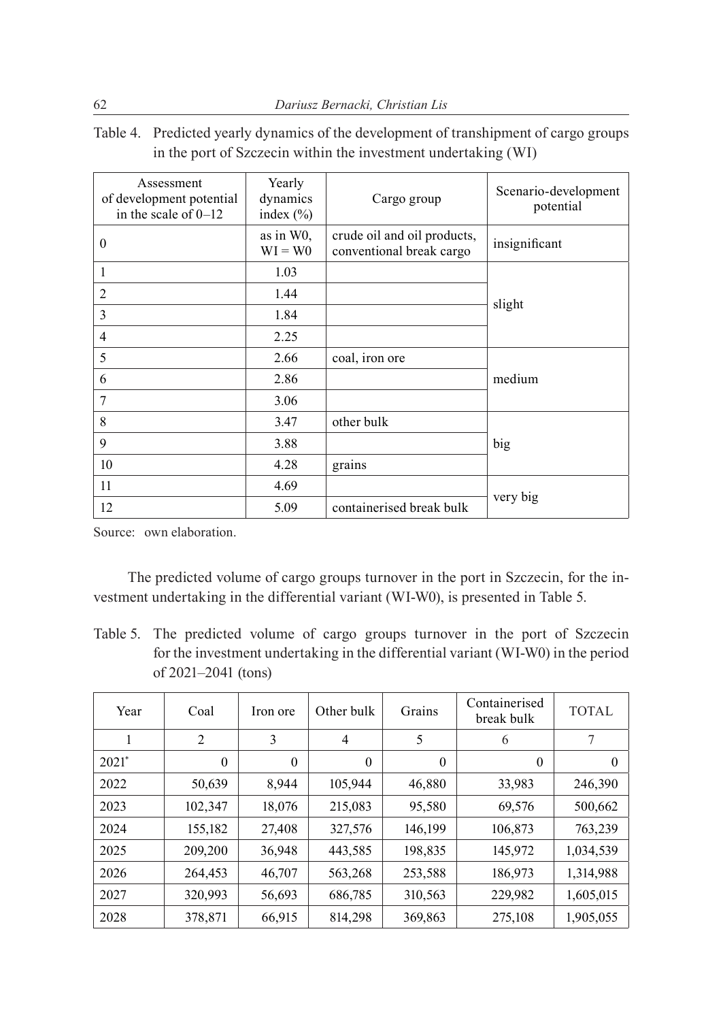Table 4. Predicted yearly dynamics of the development of transhipment of cargo groups in the port of Szczecin within the investment undertaking (WI)

| Assessment<br>of development potential<br>in the scale of $0-12$ | Yearly<br>dynamics<br>index $(\% )$ | Cargo group                                             | Scenario-development<br>potential |  |
|------------------------------------------------------------------|-------------------------------------|---------------------------------------------------------|-----------------------------------|--|
| $\theta$                                                         | as in W <sub>0</sub> ,<br>$WI = W0$ | crude oil and oil products,<br>conventional break cargo | insignificant                     |  |
| 1                                                                | 1.03                                |                                                         |                                   |  |
| $\overline{c}$                                                   | 1.44                                |                                                         |                                   |  |
| 3                                                                | 1.84                                |                                                         | slight                            |  |
| 4                                                                | 2.25                                |                                                         |                                   |  |
| 5                                                                | 2.66                                | coal, iron ore                                          |                                   |  |
| 6                                                                | 2.86                                |                                                         | medium                            |  |
| 7                                                                | 3.06                                |                                                         |                                   |  |
| 8                                                                | 3.47                                | other bulk                                              |                                   |  |
| 9                                                                | 3.88                                |                                                         | big                               |  |
| 10<br>4.28                                                       |                                     | grains                                                  |                                   |  |
| 11                                                               | 4.69                                |                                                         |                                   |  |
| 12<br>5.09                                                       |                                     | containerised break bulk                                | very big                          |  |

Source: own elaboration.

The predicted volume of cargo groups turnover in the port in Szczecin, for the investment undertaking in the differential variant (WI-W0), is presented in Table 5.

Table 5. The predicted volume of cargo groups turnover in the port of Szczecin for the investment undertaking in the differential variant (WI-W0) in the period of 2021-2041 (tons)

| Year    | Coal     | Iron ore     | Other bulk     | Grains   | Containerised<br>break bulk | <b>TOTAL</b> |
|---------|----------|--------------|----------------|----------|-----------------------------|--------------|
| 1       | 2        | 3            | $\overline{4}$ | 5        | 6                           | 7            |
| $2021*$ | $\theta$ | $\mathbf{0}$ | $\theta$       | $\theta$ | $\theta$                    | $\Omega$     |
| 2022    | 50,639   | 8,944        | 105,944        | 46,880   | 33,983                      | 246,390      |
| 2023    | 102,347  | 18,076       | 215,083        | 95,580   | 69,576                      | 500,662      |
| 2024    | 155,182  | 27,408       | 327,576        | 146,199  | 106,873                     | 763,239      |
| 2025    | 209,200  | 36,948       | 443,585        | 198,835  | 145,972                     | 1,034,539    |
| 2026    | 264,453  | 46,707       | 563,268        | 253,588  | 186,973                     | 1,314,988    |
| 2027    | 320,993  | 56,693       | 686,785        | 310,563  | 229,982                     | 1,605,015    |
| 2028    | 378,871  | 66,915       | 814,298        | 369,863  | 275,108                     | 1,905,055    |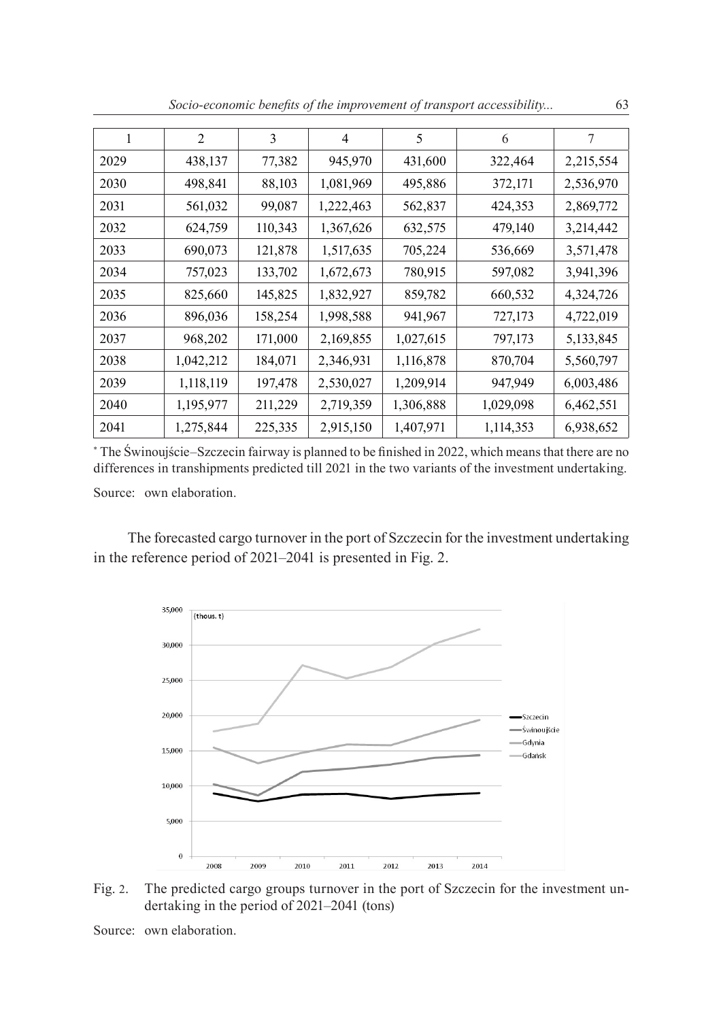|  |  | Socio-economic benefits of the improvement of transport accessibility | 63 |
|--|--|-----------------------------------------------------------------------|----|
|--|--|-----------------------------------------------------------------------|----|

| 1    | 2         | 3       | $\overline{4}$ | 5         | 6         | 7         |
|------|-----------|---------|----------------|-----------|-----------|-----------|
| 2029 | 438,137   | 77,382  | 945,970        | 431,600   | 322,464   | 2,215,554 |
| 2030 | 498,841   | 88,103  | 1,081,969      | 495,886   | 372,171   | 2,536,970 |
| 2031 | 561,032   | 99,087  | 1,222,463      | 562,837   | 424,353   | 2,869,772 |
| 2032 | 624,759   | 110,343 | 1,367,626      | 632,575   | 479,140   | 3,214,442 |
| 2033 | 690,073   | 121,878 | 1,517,635      | 705,224   | 536,669   | 3,571,478 |
| 2034 | 757,023   | 133,702 | 1,672,673      | 780,915   | 597,082   | 3,941,396 |
| 2035 | 825,660   | 145,825 | 1,832,927      | 859,782   | 660,532   | 4,324,726 |
| 2036 | 896,036   | 158,254 | 1,998,588      | 941,967   | 727,173   | 4,722,019 |
| 2037 | 968,202   | 171,000 | 2,169,855      | 1,027,615 | 797,173   | 5,133,845 |
| 2038 | 1,042,212 | 184,071 | 2,346,931      | 1,116,878 | 870,704   | 5,560,797 |
| 2039 | 1,118,119 | 197,478 | 2,530,027      | 1,209,914 | 947,949   | 6,003,486 |
| 2040 | 1,195,977 | 211,229 | 2,719,359      | 1,306,888 | 1,029,098 | 6,462,551 |
| 2041 | 1,275,844 | 225,335 | 2,915,150      | 1,407,971 | 1,114,353 | 6,938,652 |

\* The Świnoujście‒Szczecin fairway is planned to be finished in 2022, which means that there are no differences in transhipments predicted till 2021 in the two variants of the investment undertaking. Source: own elaboration.

The forecasted cargo turnover in the port of Szczecin for the investment undertaking in the reference period of 2021–2041 is presented in Fig. 2.



Fig. 2. The predicted cargo groups turnover in the port of Szczecin for the investment undertaking in the period of 2021–2041 (tons)

Source: own elaboration.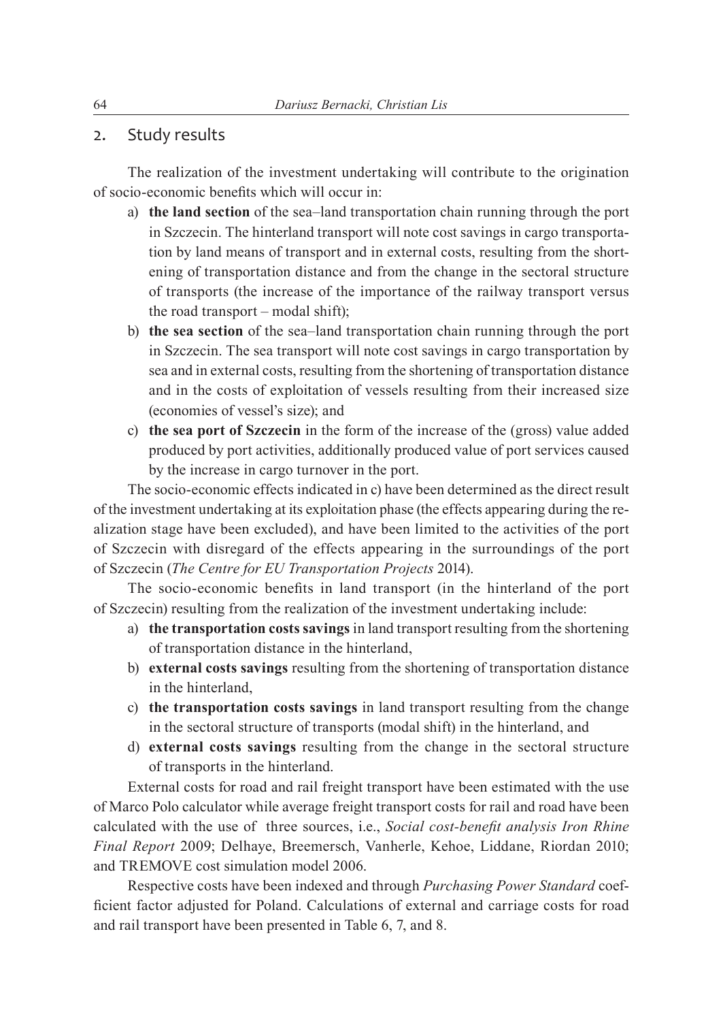#### 2. Study results

The realization of the investment undertaking will contribute to the origination of socio-economic benefits which will occur in:

- a) **the land section** of the sea-land transportation chain running through the port in Szczecin. The hinterland transport will note cost savings in cargo transportation by land means of transport and in external costs, resulting from the shortening of transportation distance and from the change in the sectoral structure of transports (the increase of the importance of the railway transport versus the road transport – modal shift);
- b) **the sea section** of the sea-land transportation chain running through the port in Szczecin. The sea transport will note cost savings in cargo transportation by sea and in external costs, resulting from the shortening of transportation distance and in the costs of exploitation of vessels resulting from their increased size (economies of vessel's size); and
- c) **the sea port of Szczecin** in the form of the increase of the (gross) value added produced by port activities, additionally produced value of port services caused by the increase in cargo turnover in the port.

The socio-economic effects indicated in c) have been determined as the direct result of the investment undertaking at its exploitation phase (the effects appearing during the realization stage have been excluded), and have been limited to the activities of the port of Szczecin with disregard of the effects appearing in the surroundings of the port of Szczecin (*The Centre for EU Transportation Projects* 2014).

The socio-economic benefits in land transport (in the hinterland of the port of Szczecin) resulting from the realization of the investment undertaking include:

- a) **the transportation costs savings** in land transport resulting from the shortening of transportation distance in the hinterland,
- b) **external costs savings** resulting from the shortening of transportation distance in the hinterland,
- c) **the transportation costs savings** in land transport resulting from the change in the sectoral structure of transports (modal shift) in the hinterland, and
- d) **external costs savings** resulting from the change in the sectoral structure of transports in the hinterland.

External costs for road and rail freight transport have been estimated with the use of Marco Polo calculator while average freight transport costs for rail and road have been calculated with the use of three sources, i.e., *Social cost-benefit analysis Iron Rhine Final Report* 2009; Delhaye, Breemersch, Vanherle, Kehoe, Liddane, Riordan 2010; and TREMOVE cost simulation model 2006.

Respective costs have been indexed and through *Purchasing Power Standard* coefficient factor adjusted for Poland. Calculations of external and carriage costs for road and rail transport have been presented in Table 6, 7, and 8.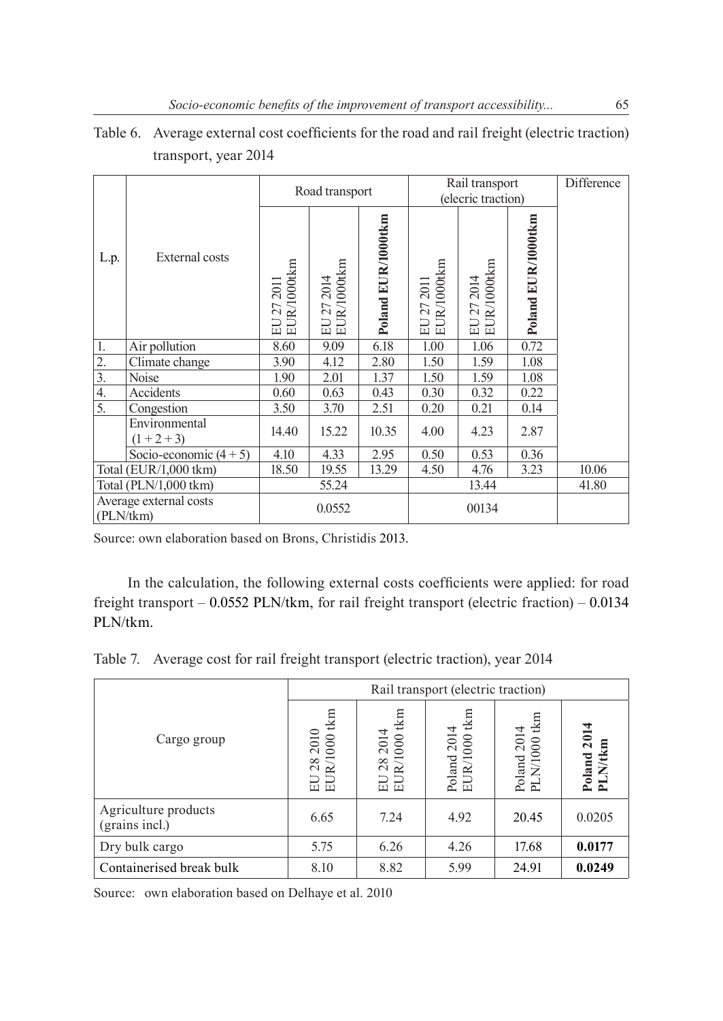|                                     |                                |                                        | Road transport            |                    | Rail transport<br>(elecric traction) |                           |                    | Difference |
|-------------------------------------|--------------------------------|----------------------------------------|---------------------------|--------------------|--------------------------------------|---------------------------|--------------------|------------|
| L.p.                                | <b>External costs</b>          | EUR/1000tkm<br><b>2011</b><br>27<br>EU | EUR/1000tkm<br>EU 27 2014 | Poland EUR/1000tkm | EUR/1000tkm<br>EU 27 2011            | EUR/1000tkm<br>EU 27 2014 | Poland EUR/1000tkm |            |
| 1.                                  | Air pollution                  | 8.60                                   | 9.09                      | 6.18               | 1.00                                 | 1.06                      | 0.72               |            |
| $\overline{2}$ .                    | Climate change                 | 3.90                                   | 4.12                      | 2.80               | 1.50                                 | 1.59                      | 1.08               |            |
| $\overline{3}$ .                    | Noise                          | 1.90                                   | 2.01                      | 1.37               | 1.50                                 | 1.59                      | 1.08               |            |
| $\overline{4}$ .                    | Accidents                      | 0.60                                   | 0.63                      | 0.43               | 0.30                                 | 0.32                      | 0.22               |            |
| $\overline{5}$ .                    | Congestion                     | 3.50                                   | 3.70                      | 2.51               | 0.20                                 | 0.21                      | 0.14               |            |
|                                     | Environmental<br>$(1 + 2 + 3)$ | 14.40                                  | 15.22                     | 10.35              | 4.00                                 | 4.23                      | 2.87               |            |
|                                     | Socio-economic $(4 + 5)$       | 4.10                                   | 4.33                      | 2.95               | 0.50                                 | 0.53                      | 0.36               |            |
|                                     | Total (EUR/1,000 tkm)          | 18.50                                  | 19.55                     | 13.29              | 4.50                                 | 4.76                      | 3.23               | 10.06      |
| Total (PLN/1,000 tkm)               |                                |                                        | 55.24                     |                    | 13.44                                |                           |                    | 41.80      |
| Average external costs<br>(PLN/tkm) |                                | 0.0552                                 |                           | 00134              |                                      |                           |                    |            |

Table 6. Average external cost coefficients for the road and rail freight (electric traction) transport, year 2014

Source: own elaboration based on Brons, Christidis 2013.

In the calculation, the following external costs coefficients were applied: for road freight transport  $-$  0.0552 PLN/tkm, for rail freight transport (electric fraction)  $-$  0.0134 PLN/tkm.

Table 7. Average cost for rail freight transport (electric traction), year 2014

|                                        | Rail transport (electric traction)                  |                                                     |                             |                             |                        |  |  |  |
|----------------------------------------|-----------------------------------------------------|-----------------------------------------------------|-----------------------------|-----------------------------|------------------------|--|--|--|
| Cargo group                            | tkm<br>$\frac{2010}{0001}$<br>28<br>$\approx$<br>品品 | $t \text{km}$<br>$282014$<br>R/1000 tl<br><b>RD</b> | Poland 2014<br>EUR/1000 tkm | Poland 2014<br>PLN/1000 tkm | Poland 2014<br>PLN/tkm |  |  |  |
| Agriculture products<br>(grains incl.) | 6.65                                                | 7.24                                                | 4.92                        | 20.45                       | 0.0205                 |  |  |  |
| Dry bulk cargo                         | 5.75                                                | 6.26                                                | 4.26                        | 17.68                       | 0.0177                 |  |  |  |
| Containerised break bulk               | 8.10                                                | 8.82                                                | 5.99                        | 24.91                       | 0.0249                 |  |  |  |

Source: own elaboration based on Delhaye et al. 2010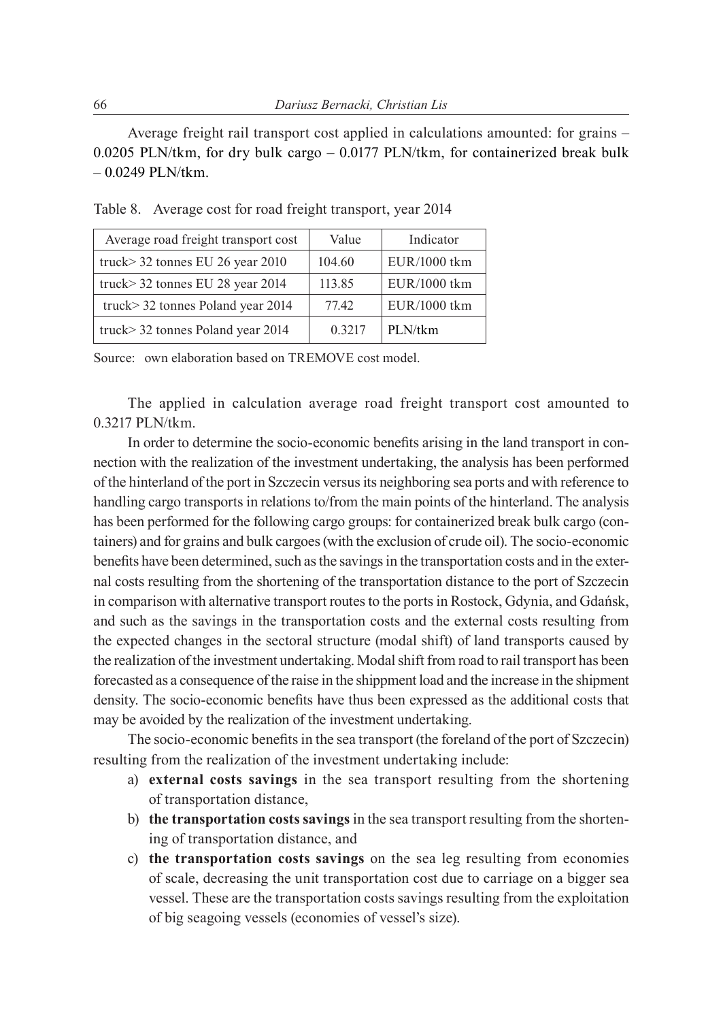Average freight rail transport cost applied in calculations amounted: for grains – 0.0205 PLN/tkm, for dry bulk cargo  $-$  0.0177 PLN/tkm, for containerized break bulk  $-0.0249$  PLN/tkm.

| Average road freight transport cost | Value  | Indicator    |
|-------------------------------------|--------|--------------|
| truck> 32 tonnes EU 26 year 2010    | 104.60 | EUR/1000 tkm |
| truck> 32 tonnes EU 28 year 2014    | 113.85 | EUR/1000 tkm |
| truck> 32 tonnes Poland year 2014   | 7742   | EUR/1000 tkm |
| truck> 32 tonnes Poland year 2014   | 0.3217 | PLN/tkm      |

Table 8. Average cost for road freight transport, year 2014

Source: own elaboration based on TREMOVE cost model.

The applied in calculation average road freight transport cost amounted to 0.3217 PLN/tkm.

In order to determine the socio-economic benefits arising in the land transport in connection with the realization of the investment undertaking, the analysis has been performed of the hinterland of the port in Szczecin versus its neighboring sea ports and with reference to handling cargo transports in relations to/from the main points of the hinterland. The analysis has been performed for the following cargo groups: for containerized break bulk cargo (containers) and for grains and bulk cargoes (with the exclusion of crude oil). The socio-economic benefits have been determined, such as the savings in the transportation costs and in the external costs resulting from the shortening of the transportation distance to the port of Szczecin in comparison with alternative transport routes to the ports in Rostock, Gdynia, and Gdańsk, and such as the savings in the transportation costs and the external costs resulting from the expected changes in the sectoral structure (modal shift) of land transports caused by the realization of the investment undertaking. Modal shift from road to rail transport has been forecasted as a consequence of the raise in the shippment load and the increase in the shipment density. The socio-economic benefits have thus been expressed as the additional costs that may be avoided by the realization of the investment undertaking.

The socio-economic benefits in the sea transport (the foreland of the port of Szczecin) resulting from the realization of the investment undertaking include:

- a) **external costs savings** in the sea transport resulting from the shortening of transportation distance,
- b) **the transportation costs savings** in the sea transport resulting from the shortening of transportation distance, and
- c) **the transportation costs savings** on the sea leg resulting from economies of scale, decreasing the unit transportation cost due to carriage on a bigger sea vessel. These are the transportation costs savings resulting from the exploitation of big seagoing vessels (economies of vessel's size).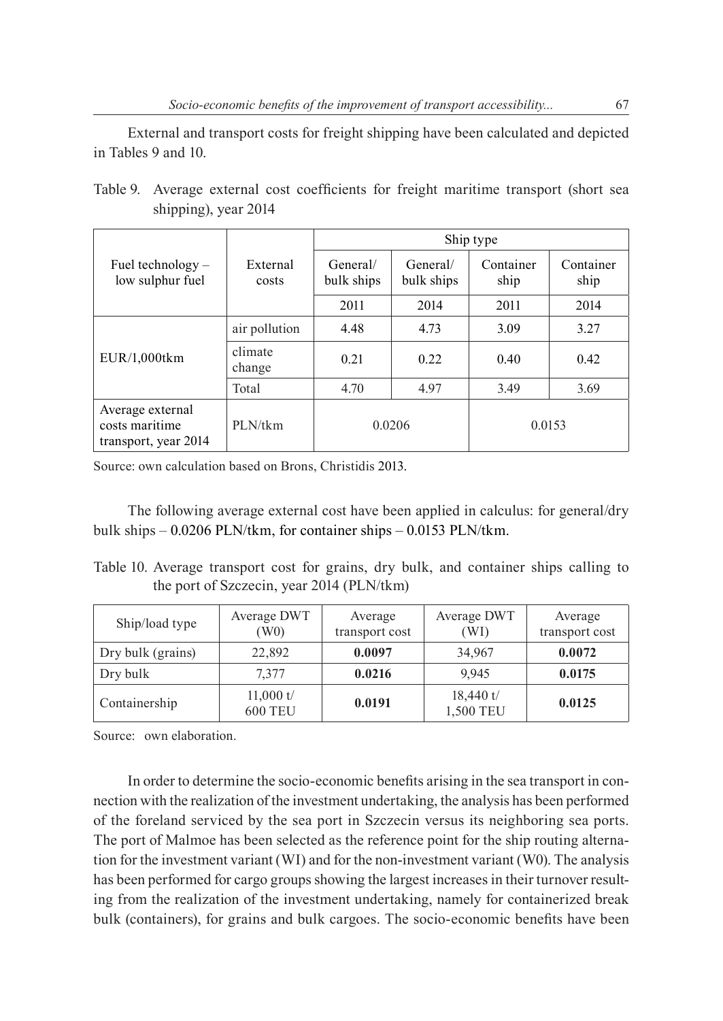External and transport costs for freight shipping have been calculated and depicted in Tables 9 and 10.

|                      |  | Table 9. Average external cost coefficients for freight maritime transport (short sea |  |  |  |
|----------------------|--|---------------------------------------------------------------------------------------|--|--|--|
| shipping), year 2014 |  |                                                                                       |  |  |  |

|                                                            |                   | Ship type              |                        |                   |                   |  |  |  |
|------------------------------------------------------------|-------------------|------------------------|------------------------|-------------------|-------------------|--|--|--|
| Fuel technology $-$<br>low sulphur fuel                    | External<br>costs | General/<br>bulk ships | General/<br>bulk ships | Container<br>ship | Container<br>ship |  |  |  |
|                                                            |                   | 2011                   | 2014                   | 2011              | 2014              |  |  |  |
|                                                            | air pollution     | 4.48                   | 4.73                   | 3.09              | 3.27              |  |  |  |
| EUR/1,000tkm                                               | climate<br>change | 0.21                   | 0.22                   | 0.40              | 0.42              |  |  |  |
|                                                            | Total             | 4.70                   | 4.97                   | 3.49              | 3.69              |  |  |  |
| Average external<br>costs maritime<br>transport, year 2014 | PLN/tkm           | 0.0206                 |                        | 0.0153            |                   |  |  |  |

Source: own calculation based on Brons, Christidis 2013.

The following average external cost have been applied in calculus: for general/dry bulk ships  $-0.0206$  PLN/tkm, for container ships  $-0.0153$  PLN/tkm.

Table 10. Average transport cost for grains, dry bulk, and container ships calling to the port of Szczecin, year 2014 (PLN/tkm)

| Ship/load type    | Average DWT<br>(W <sub>0</sub> ) | Average<br>transport cost | Average DWT<br>(WI)      | Average<br>transport cost |
|-------------------|----------------------------------|---------------------------|--------------------------|---------------------------|
| Dry bulk (grains) | 22,892                           | 0.0097                    | 34.967                   | 0.0072                    |
| Dry bulk          | 7.377                            | 0.0216                    | 9.945                    | 0.0175                    |
| Containership     | 11,000 $t/$<br><b>600 TEU</b>    | 0.0191                    | $18,440$ t/<br>1,500 TEU | 0.0125                    |

Source: own elaboration.

In order to determine the socio-economic benefits arising in the sea transport in connection with the realization of the investment undertaking, the analysis has been performed of the foreland serviced by the sea port in Szczecin versus its neighboring sea ports. The port of Malmoe has been selected as the reference point for the ship routing alternation for the investment variant (WI) and for the non-investment variant (W0). The analysis has been performed for cargo groups showing the largest increases in their turnover resulting from the realization of the investment undertaking, namely for containerized break bulk (containers), for grains and bulk cargoes. The socio-economic benefits have been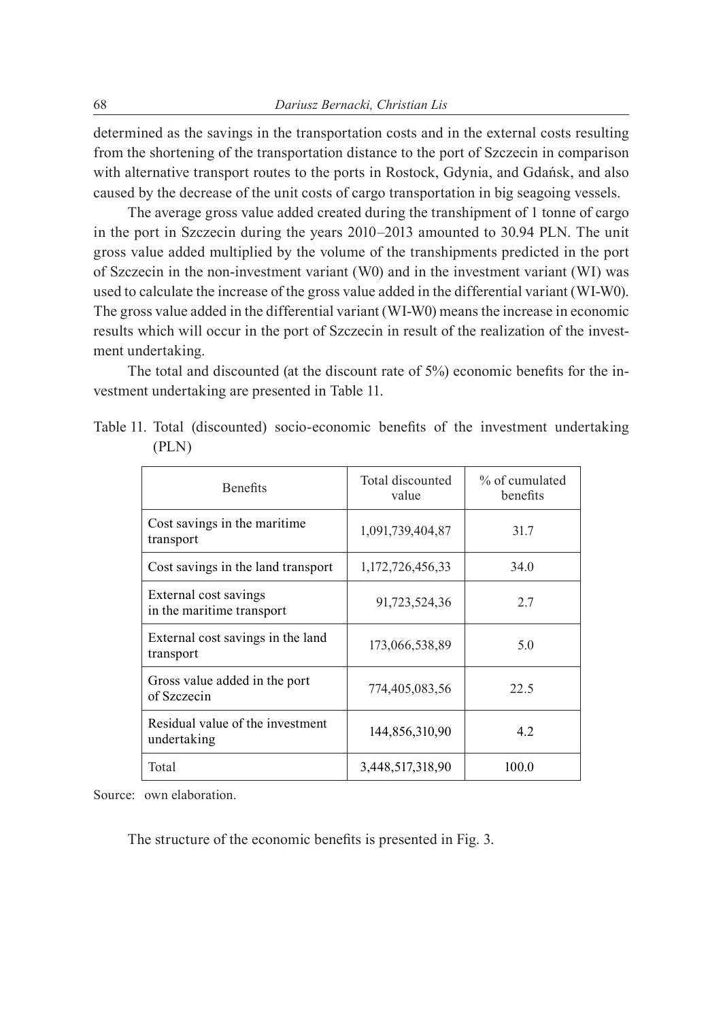determined as the savings in the transportation costs and in the external costs resulting from the shortening of the transportation distance to the port of Szczecin in comparison with alternative transport routes to the ports in Rostock, Gdynia, and Gdańsk, and also caused by the decrease of the unit costs of cargo transportation in big seagoing vessels.

The average gross value added created during the transhipment of 1 tonne of cargo in the port in Szczecin during the years 2010–2013 amounted to 30.94 PLN. The unit gross value added multiplied by the volume of the transhipments predicted in the port of Szczecin in the non-investment variant (W0) and in the investment variant (WI) was used to calculate the increase of the gross value added in the differential variant (WI-W0). The gross value added in the differential variant (WI-W0) means the increase in economic results which will occur in the port of Szczecin in result of the realization of the investment undertaking.

The total and discounted (at the discount rate of 5%) economic benefits for the investment undertaking are presented in Table 11.

| <b>Benefits</b>                                    | Total discounted<br>value | % of cumulated<br>benefits |
|----------------------------------------------------|---------------------------|----------------------------|
| Cost savings in the maritime.<br>transport         | 1,091,739,404,87          | 31.7                       |
| Cost savings in the land transport                 | 1,172,726,456,33          | 34.0                       |
| External cost savings<br>in the maritime transport | 91,723,524,36             | 2.7                        |
| External cost savings in the land<br>transport     | 173,066,538,89            | 5.0                        |
| Gross value added in the port<br>of Szczecin       | 774,405,083,56            | 22.5                       |
| Residual value of the investment<br>undertaking    | 144,856,310,90            | 4.2                        |
| Total                                              | 3,448,517,318,90          | 100.0                      |

Table 11. Total (discounted) socio-economic benefits of the investment undertaking (PLN)

Source: own elaboration.

The structure of the economic benefits is presented in Fig. 3.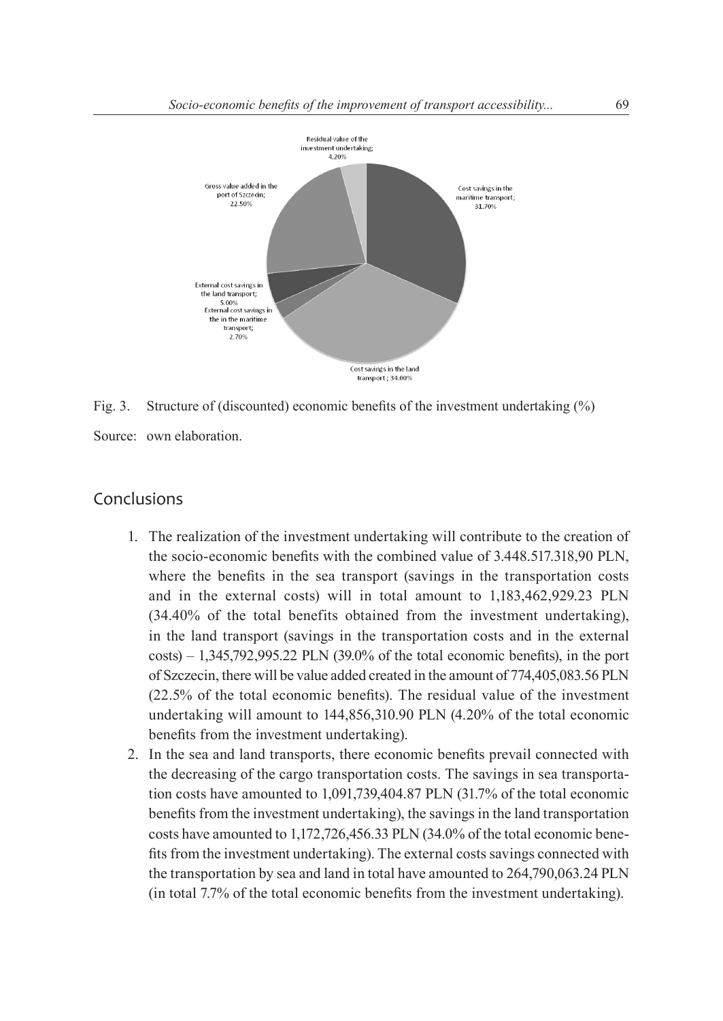

Fig. 3. Structure of (discounted) economic benefits of the investment undertaking (%)

Source: own elaboration.

### Conclusions

- 1. The realization of the investment undertaking will contribute to the creation of the socio-economic benefits with the combined value of 3.448.517.318,90 PLN, where the benefits in the sea transport (savings in the transportation costs and in the external costs) will in total amount to 1,183,462,929.23 PLN (34.40% of the total benefits obtained from the investment undertaking), in the land transport (savings in the transportation costs and in the external  $costs$ )  $- 1,345,792,995.22$  PLN  $(39.0\%$  of the total economic benefits), in the port of Szczecin, there will be value added created in the amount of 774,405,083.56 PLN (22.5% of the total economic benefits). The residual value of the investment undertaking will amount to 144,856,310.90 PLN (4.20% of the total economic benefits from the investment undertaking).
- 2. In the sea and land transports, there economic benefits prevail connected with the decreasing of the cargo transportation costs. The savings in sea transportation costs have amounted to 1,091,739,404.87 PLN (31.7% of the total economic benefits from the investment undertaking), the savings in the land transportation costs have amounted to 1,172,726,456.33 PLN (34.0% of the total economic benefits from the investment undertaking). The external costs savings connected with the transportation by sea and land in total have amounted to 264,790,063.24 PLN (in total 7.7% of the total economic benefits from the investment undertaking).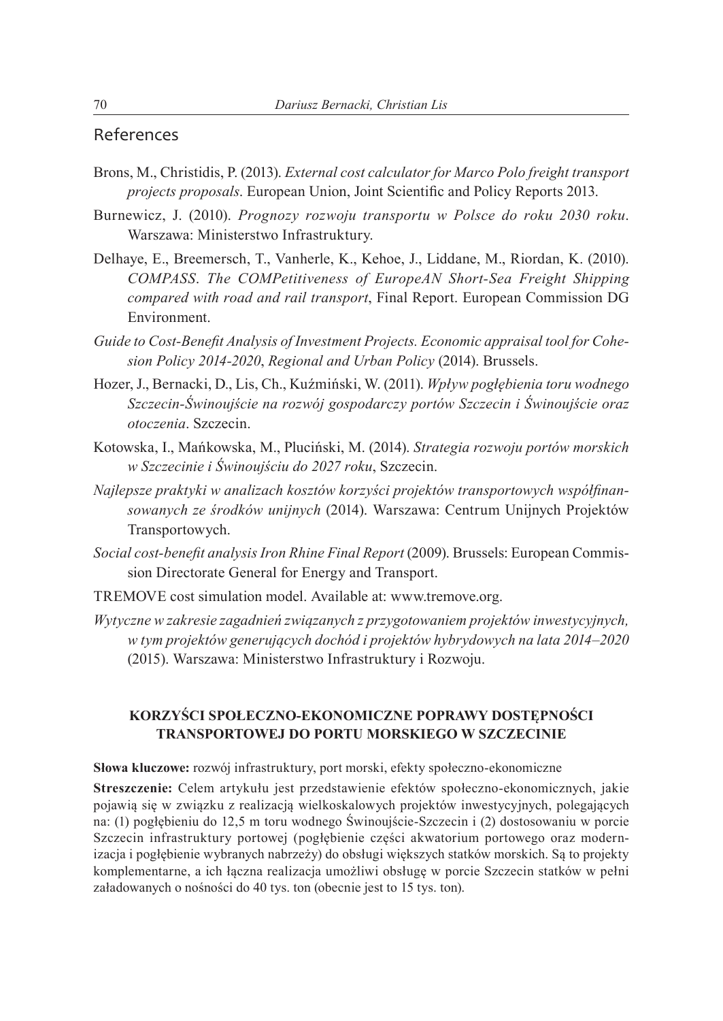#### References

- Brons, M., Christidis, P. (2013). *External cost calculator for Marco Polo freight transport projects proposals*. European Union, Joint Scientific and Policy Reports 2013.
- Burnewicz, J. (2010). *Prognozy rozwoju transportu w Polsce do roku 2030 roku*. Warszawa: Ministerstwo Infrastruktury.
- Delhaye, E., Breemersch, T., Vanherle, K., Kehoe, J., Liddane, M., Riordan, K. (2010). *COMPASS*. *The COMPetitiveness of EuropeAN Short-Sea Freight Shipping compared with road and rail transport*, Final Report. European Commission DG Environment.
- *Guide to Cost-Benefit Analysis of Investment Projects. Economic appraisal tool for Cohesion Policy 2014-2020*, *Regional and Urban Policy* (2014). Brussels.
- Hozer, J., Bernacki, D., Lis, Ch., Kuźmiński, W. (2011). *Wpływ pogłębienia toru wodnego Szczecin-Świnoujście na rozwój gospodarczy portów Szczecin i Świnoujście oraz otoczenia*. Szczecin.
- Kotowska, I., Mańkowska, M., Pluciński, M. (2014). *Strategia rozwoju portów morskich w Szczecinie i Świnoujściu do 2027 roku*, Szczecin.
- *Najlepsze praktyki w analizach kosztów korzyści projektów transportowych współfinansowanych ze środków unijnych* (2014). Warszawa: Centrum Unijnych Projektów Transportowych.
- *Social cost-benefit analysis Iron Rhine Final Report* (2009). Brussels: European Commission Directorate General for Energy and Transport.
- TREMOVE cost simulation model. Available at: www.tremove.org.
- *Wytyczne w zakresie zagadnień związanych z przygotowaniem projektów inwestycyjnych, w tym projektów generujących dochód i projektów hybrydowych na lata 2014–2020* (2015). Warszawa: Ministerstwo Infrastruktury i Rozwoju.

#### **Korzyści społeczno-ekonomiczne poprawy dostępności transportowej do portu morskiego w Szczecinie**

**Słowa kluczowe:** rozwój infrastruktury, port morski, efekty społeczno-ekonomiczne

**Streszczenie:** Celem artykułu jest przedstawienie efektów społeczno-ekonomicznych, jakie pojawią się w związku z realizacją wielkoskalowych projektów inwestycyjnych, polegających na: (1) pogłębieniu do 12,5 m toru wodnego Świnoujście-Szczecin i (2) dostosowaniu w porcie Szczecin infrastruktury portowej (pogłębienie części akwatorium portowego oraz modernizacja i pogłębienie wybranych nabrzeży) do obsługi większych statków morskich. Są to projekty komplementarne, a ich łączna realizacja umożliwi obsługę w porcie Szczecin statków w pełni załadowanych o nośności do 40 tys. ton (obecnie jest to 15 tys. ton).